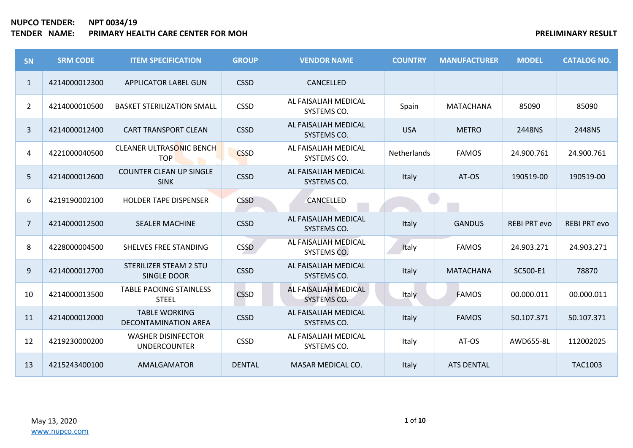| <b>SN</b>      | <b>SRM CODE</b> | <b>ITEM SPECIFICATION</b>                        | <b>GROUP</b>  | <b>VENDOR NAME</b>                  | <b>COUNTRY</b> | <b>MANUFACTURER</b> | <b>MODEL</b>        | <b>CATALOG NO.</b>  |
|----------------|-----------------|--------------------------------------------------|---------------|-------------------------------------|----------------|---------------------|---------------------|---------------------|
| $\mathbf{1}$   | 4214000012300   | <b>APPLICATOR LABEL GUN</b>                      | <b>CSSD</b>   | CANCELLED                           |                |                     |                     |                     |
| $\overline{2}$ | 4214000010500   | <b>BASKET STERILIZATION SMALL</b>                | <b>CSSD</b>   | AL FAISALIAH MEDICAL<br>SYSTEMS CO. | Spain          | <b>MATACHANA</b>    | 85090               | 85090               |
| 3              | 4214000012400   | <b>CART TRANSPORT CLEAN</b>                      | <b>CSSD</b>   | AL FAISALIAH MEDICAL<br>SYSTEMS CO. | <b>USA</b>     | <b>METRO</b>        | 2448NS              | 2448NS              |
| 4              | 4221000040500   | <b>CLEANER ULTRASONIC BENCH</b><br><b>TOP</b>    | <b>CSSD</b>   | AL FAISALIAH MEDICAL<br>SYSTEMS CO. | Netherlands    | <b>FAMOS</b>        | 24.900.761          | 24.900.761          |
| 5 <sup>1</sup> | 4214000012600   | <b>COUNTER CLEAN UP SINGLE</b><br><b>SINK</b>    | <b>CSSD</b>   | AL FAISALIAH MEDICAL<br>SYSTEMS CO. | Italy          | AT-OS               | 190519-00           | 190519-00           |
| 6              | 4219190002100   | <b>HOLDER TAPE DISPENSER</b>                     | <b>CSSD</b>   | CANCELLED                           |                |                     |                     |                     |
| $\overline{7}$ | 4214000012500   | <b>SEALER MACHINE</b>                            | <b>CSSD</b>   | AL FAISALIAH MEDICAL<br>SYSTEMS CO. | Italy          | <b>GANDUS</b>       | <b>REBI PRT evo</b> | <b>REBI PRT evo</b> |
| 8              | 4228000004500   | SHELVES FREE STANDING                            | <b>CSSD</b>   | AL FAISALIAH MEDICAL<br>SYSTEMS CO. | Italy          | <b>FAMOS</b>        | 24.903.271          | 24.903.271          |
| 9              | 4214000012700   | <b>STERILIZER STEAM 2 STU</b><br>SINGLE DOOR     | <b>CSSD</b>   | AL FAISALIAH MEDICAL<br>SYSTEMS CO. | Italy          | <b>MATACHANA</b>    | SC500-E1            | 78870               |
| 10             | 4214000013500   | <b>TABLE PACKING STAINLESS</b><br><b>STEEL</b>   | <b>CSSD</b>   | AL FAISALIAH MEDICAL<br>SYSTEMS CO. | Italy          | <b>FAMOS</b>        | 00.000.011          | 00.000.011          |
| 11             | 4214000012000   | <b>TABLE WORKING</b><br>DECONTAMINATION AREA     | <b>CSSD</b>   | AL FAISALIAH MEDICAL<br>SYSTEMS CO. | Italy          | <b>FAMOS</b>        | 50.107.371          | 50.107.371          |
| 12             | 4219230000200   | <b>WASHER DISINFECTOR</b><br><b>UNDERCOUNTER</b> | <b>CSSD</b>   | AL FAISALIAH MEDICAL<br>SYSTEMS CO. | Italy          | AT-OS               | AWD655-8L           | 112002025           |
| 13             | 4215243400100   | AMALGAMATOR                                      | <b>DENTAL</b> | MASAR MEDICAL CO.                   | Italy          | <b>ATS DENTAL</b>   |                     | <b>TAC1003</b>      |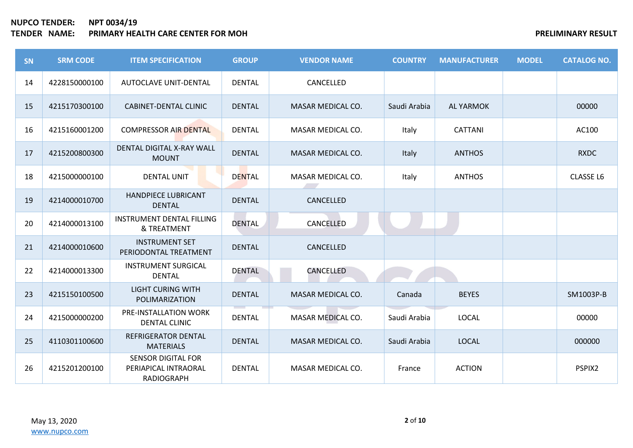| SN | <b>SRM CODE</b> | <b>ITEM SPECIFICATION</b>                                              | <b>GROUP</b>  | <b>VENDOR NAME</b> | <b>COUNTRY</b> | <b>MANUFACTURER</b> | <b>MODEL</b> | <b>CATALOG NO.</b> |
|----|-----------------|------------------------------------------------------------------------|---------------|--------------------|----------------|---------------------|--------------|--------------------|
| 14 | 4228150000100   | AUTOCLAVE UNIT-DENTAL                                                  | <b>DENTAL</b> | CANCELLED          |                |                     |              |                    |
| 15 | 4215170300100   | CABINET-DENTAL CLINIC                                                  | <b>DENTAL</b> | MASAR MEDICAL CO.  | Saudi Arabia   | <b>AL YARMOK</b>    |              | 00000              |
| 16 | 4215160001200   | <b>COMPRESSOR AIR DENTAL</b>                                           | <b>DENTAL</b> | MASAR MEDICAL CO.  | Italy          | <b>CATTANI</b>      |              | AC100              |
| 17 | 4215200800300   | DENTAL DIGITAL X-RAY WALL<br><b>MOUNT</b>                              | <b>DENTAL</b> | MASAR MEDICAL CO.  | Italy          | <b>ANTHOS</b>       |              | <b>RXDC</b>        |
| 18 | 4215000000100   | <b>DENTAL UNIT</b>                                                     | <b>DENTAL</b> | MASAR MEDICAL CO.  | Italy          | <b>ANTHOS</b>       |              | <b>CLASSE L6</b>   |
| 19 | 4214000010700   | <b>HANDPIECE LUBRICANT</b><br><b>DENTAL</b>                            | <b>DENTAL</b> | CANCELLED          |                |                     |              |                    |
| 20 | 4214000013100   | <b>INSTRUMENT DENTAL FILLING</b><br>& TREATMENT                        | DENTAL        | CANCELLED          |                |                     |              |                    |
| 21 | 4214000010600   | <b>INSTRUMENT SET</b><br>PERIODONTAL TREATMENT                         | <b>DENTAL</b> | CANCELLED          |                |                     |              |                    |
| 22 | 4214000013300   | <b>INSTRUMENT SURGICAL</b><br><b>DENTAL</b>                            | <b>DENTAL</b> | CANCELLED          |                |                     |              |                    |
| 23 | 4215150100500   | <b>LIGHT CURING WITH</b><br>POLIMARIZATION                             | <b>DENTAL</b> | MASAR MEDICAL CO.  | Canada         | <b>BEYES</b>        |              | SM1003P-B          |
| 24 | 4215000000200   | PRE-INSTALLATION WORK<br><b>DENTAL CLINIC</b>                          | <b>DENTAL</b> | MASAR MEDICAL CO.  | Saudi Arabia   | <b>LOCAL</b>        |              | 00000              |
| 25 | 4110301100600   | REFRIGERATOR DENTAL<br><b>MATERIALS</b>                                | <b>DENTAL</b> | MASAR MEDICAL CO.  | Saudi Arabia   | <b>LOCAL</b>        |              | 000000             |
| 26 | 4215201200100   | <b>SENSOR DIGITAL FOR</b><br>PERIAPICAL INTRAORAL<br><b>RADIOGRAPH</b> | <b>DENTAL</b> | MASAR MEDICAL CO.  | France         | <b>ACTION</b>       |              | PSPIX2             |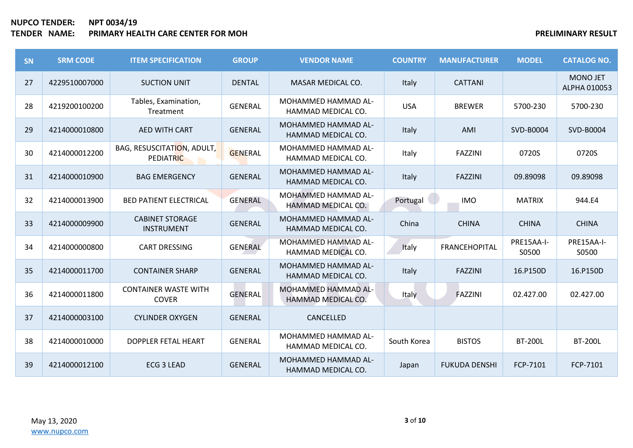| SN | <b>SRM CODE</b> | <b>ITEM SPECIFICATION</b>                      | <b>GROUP</b>   | <b>VENDOR NAME</b>                        | <b>COUNTRY</b> | <b>MANUFACTURER</b>  | <b>MODEL</b>        | <b>CATALOG NO.</b>              |
|----|-----------------|------------------------------------------------|----------------|-------------------------------------------|----------------|----------------------|---------------------|---------------------------------|
| 27 | 4229510007000   | <b>SUCTION UNIT</b>                            | <b>DENTAL</b>  | MASAR MEDICAL CO.                         | Italy          | <b>CATTANI</b>       |                     | <b>MONO JET</b><br>ALPHA 010053 |
| 28 | 4219200100200   | Tables, Examination,<br>Treatment              | <b>GENERAL</b> | MOHAMMED HAMMAD AL-<br>HAMMAD MEDICAL CO. | <b>USA</b>     | <b>BREWER</b>        | 5700-230            | 5700-230                        |
| 29 | 4214000010800   | <b>AED WITH CART</b>                           | <b>GENERAL</b> | MOHAMMED HAMMAD AL-<br>HAMMAD MEDICAL CO. | Italy          | AMI                  | SVD-B0004           | SVD-B0004                       |
| 30 | 4214000012200   | BAG, RESUSCITATION, ADULT,<br><b>PEDIATRIC</b> | <b>GENERAL</b> | MOHAMMED HAMMAD AL-<br>HAMMAD MEDICAL CO. | Italy          | <b>FAZZINI</b>       | 0720S               | 0720S                           |
| 31 | 4214000010900   | <b>BAG EMERGENCY</b>                           | <b>GENERAL</b> | MOHAMMED HAMMAD AL-<br>HAMMAD MEDICAL CO. | Italy          | <b>FAZZINI</b>       | 09.89098            | 09.89098                        |
| 32 | 4214000013900   | <b>BED PATIENT ELECTRICAL</b>                  | <b>GENERAL</b> | MOHAMMED HAMMAD AL-<br>HAMMAD MEDICAL CO. | Portugal       | <b>IMO</b>           | <b>MATRIX</b>       | 944.E4                          |
| 33 | 4214000009900   | <b>CABINET STORAGE</b><br><b>INSTRUMENT</b>    | <b>GENERAL</b> | MOHAMMED HAMMAD AL-<br>HAMMAD MEDICAL CO. | China          | <b>CHINA</b>         | <b>CHINA</b>        | <b>CHINA</b>                    |
| 34 | 4214000000800   | <b>CART DRESSING</b>                           | <b>GENERAL</b> | MOHAMMED HAMMAD AL-<br>HAMMAD MEDICAL CO. | Italy          | FRANCEHOPITAL        | PRE15AA-I-<br>S0500 | PRE15AA-I-<br>S0500             |
| 35 | 4214000011700   | <b>CONTAINER SHARP</b>                         | <b>GENERAL</b> | MOHAMMED HAMMAD AL-<br>HAMMAD MEDICAL CO. | Italy          | <b>FAZZINI</b>       | 16.P150D            | 16.P150D                        |
| 36 | 4214000011800   | <b>CONTAINER WASTE WITH</b><br><b>COVER</b>    | <b>GENERAL</b> | MOHAMMED HAMMAD AL-<br>HAMMAD MEDICAL CO. | Italy          | FAZZINI              | 02.427.00           | 02.427.00                       |
| 37 | 4214000003100   | <b>CYLINDER OXYGEN</b>                         | <b>GENERAL</b> | CANCELLED                                 |                |                      |                     |                                 |
| 38 | 4214000010000   | <b>DOPPLER FETAL HEART</b>                     | <b>GENERAL</b> | MOHAMMED HAMMAD AL-<br>HAMMAD MEDICAL CO. | South Korea    | <b>BISTOS</b>        | <b>BT-200L</b>      | <b>BT-200L</b>                  |
| 39 | 4214000012100   | ECG 3 LEAD                                     | <b>GENERAL</b> | MOHAMMED HAMMAD AL-<br>HAMMAD MEDICAL CO. | Japan          | <b>FUKUDA DENSHI</b> | FCP-7101            | FCP-7101                        |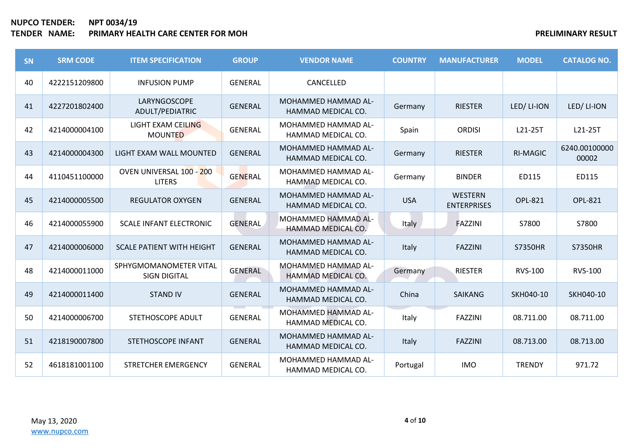# **NUPCO TENDER: NPT 0034/19 TENDER IN A PRELIMINARY RESULT PRELIMINARY RESULT**

| SN | <b>SRM CODE</b> | <b>ITEM SPECIFICATION</b>                     | <b>GROUP</b>   | <b>VENDOR NAME</b>                               | <b>COUNTRY</b> | <b>MANUFACTURER</b>           | <b>MODEL</b>    | <b>CATALOG NO.</b>     |
|----|-----------------|-----------------------------------------------|----------------|--------------------------------------------------|----------------|-------------------------------|-----------------|------------------------|
| 40 | 4222151209800   | <b>INFUSION PUMP</b>                          | <b>GENERAL</b> | CANCELLED                                        |                |                               |                 |                        |
| 41 | 4227201802400   | LARYNGOSCOPE<br>ADULT/PEDIATRIC               | <b>GENERAL</b> | MOHAMMED HAMMAD AL-<br>HAMMAD MEDICAL CO.        | Germany        | <b>RIESTER</b>                | LED/LI-ION      | LED/LI-ION             |
| 42 | 4214000004100   | LIGHT EXAM CEILING<br><b>MOUNTED</b>          | <b>GENERAL</b> | MOHAMMED HAMMAD AL-<br>HAMMAD MEDICAL CO.        | Spain          | <b>ORDISI</b>                 | L21-25T         | L21-25T                |
| 43 | 4214000004300   | LIGHT EXAM WALL MOUNTED                       | <b>GENERAL</b> | MOHAMMED HAMMAD AL-<br>HAMMAD MEDICAL CO.        | Germany        | <b>RIESTER</b>                | <b>RI-MAGIC</b> | 6240.00100000<br>00002 |
| 44 | 4110451100000   | OVEN UNIVERSAL 100 - 200<br><b>LITERS</b>     | <b>GENERAL</b> | MOHAMMED HAMMAD AL-<br>HAMMAD MEDICAL CO.        | Germany        | <b>BINDER</b>                 | ED115           | ED115                  |
| 45 | 4214000005500   | <b>REGULATOR OXYGEN</b>                       | <b>GENERAL</b> | <b>MOHAMMED HAMMAD AL-</b><br>HAMMAD MEDICAL CO. | <b>USA</b>     | WESTERN<br><b>ENTERPRISES</b> | <b>OPL-821</b>  | <b>OPL-821</b>         |
| 46 | 4214000055900   | <b>SCALE INFANT ELECTRONIC</b>                | <b>GENERAL</b> | MOHAMMED HAMMAD AL-<br>HAMMAD MEDICAL CO.        | Italy          | FAZZINI                       | S7800           | S7800                  |
| 47 | 4214000006000   | <b>SCALE PATIENT WITH HEIGHT</b>              | <b>GENERAL</b> | MOHAMMED HAMMAD AL-<br>HAMMAD MEDICAL CO.        | Italy          | <b>FAZZINI</b>                | <b>S7350HR</b>  | <b>S7350HR</b>         |
| 48 | 4214000011000   | SPHYGMOMANOMETER VITAL<br><b>SIGN DIGITAL</b> | <b>GENERAL</b> | MOHAMMED HAMMAD AL-<br>HAMMAD MEDICAL CO.        | Germany        | <b>RIESTER</b>                | <b>RVS-100</b>  | <b>RVS-100</b>         |
| 49 | 4214000011400   | <b>STAND IV</b>                               | <b>GENERAL</b> | MOHAMMED HAMMAD AL-<br>HAMMAD MEDICAL CO.        | China          | <b>SAIKANG</b>                | SKH040-10       | SKH040-10              |
| 50 | 4214000006700   | STETHOSCOPE ADULT                             | <b>GENERAL</b> | MOHAMMED HAMMAD AL-<br>HAMMAD MEDICAL CO.        | Italy          | <b>FAZZINI</b>                | 08.711.00       | 08.711.00              |
| 51 | 4218190007800   | STETHOSCOPE INFANT                            | <b>GENERAL</b> | MOHAMMED HAMMAD AL-<br>HAMMAD MEDICAL CO.        | Italy          | <b>FAZZINI</b>                | 08.713.00       | 08.713.00              |
| 52 | 4618181001100   | STRETCHER EMERGENCY                           | <b>GENERAL</b> | MOHAMMED HAMMAD AL-<br>HAMMAD MEDICAL CO.        | Portugal       | <b>IMO</b>                    | <b>TRENDY</b>   | 971.72                 |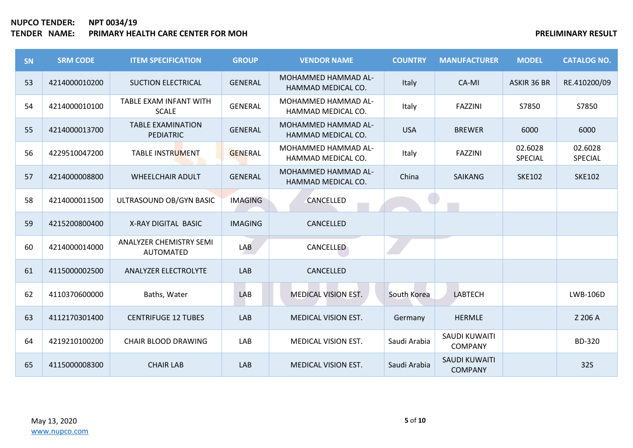# **NUPCO TENDER: NPT 0034/19 TENDER IN A SEXUAL TERM OF STATE AND RESULT AND RESULT AND RESULT AND RESULT AND RESULT**

| <b>SN</b> | <b>SRM CODE</b> | <b>ITEM SPECIFICATION</b>                    | <b>GROUP</b>   | <b>VENDOR NAME</b>                               | <b>COUNTRY</b> | <b>MANUFACTURER</b>                    | <b>MODEL</b>       | <b>CATALOG NO.</b> |
|-----------|-----------------|----------------------------------------------|----------------|--------------------------------------------------|----------------|----------------------------------------|--------------------|--------------------|
| 53        | 4214000010200   | <b>SUCTION ELECTRICAL</b>                    | <b>GENERAL</b> | <b>MOHAMMED HAMMAD AL-</b><br>HAMMAD MEDICAL CO. | Italy          | CA-MI                                  | ASKIR 36 BR        | RE.410200/09       |
| 54        | 4214000010100   | TABLE EXAM INFANT WITH<br><b>SCALE</b>       | GENERAL        | MOHAMMED HAMMAD AL-<br>HAMMAD MEDICAL CO.        | Italy          | <b>FAZZINI</b>                         | S7850              | S7850              |
| 55        | 4214000013700   | <b>TABLE EXAMINATION</b><br><b>PEDIATRIC</b> | <b>GENERAL</b> | MOHAMMED HAMMAD AL-<br>HAMMAD MEDICAL CO.        | <b>USA</b>     | <b>BREWER</b>                          | 6000               | 6000               |
| 56        | 4229510047200   | TABLE INSTRUMENT                             | <b>GENERAL</b> | MOHAMMED HAMMAD AL-<br>HAMMAD MEDICAL CO.        | Italy          | <b>FAZZINI</b>                         | 02.6028<br>SPECIAL | 02.6028<br>SPECIAL |
| 57        | 4214000008800   | <b>WHEELCHAIR ADULT</b>                      | <b>GENERAL</b> | MOHAMMED HAMMAD AL-<br>HAMMAD MEDICAL CO.        | China          | <b>SAIKANG</b>                         | <b>SKE102</b>      | <b>SKE102</b>      |
| 58        | 4214000011500   | ULTRASOUND OB/GYN BASIC                      | <b>IMAGING</b> | CANCELLED                                        |                |                                        |                    |                    |
| 59        | 4215200800400   | X-RAY DIGITAL BASIC                          | <b>IMAGING</b> | CANCELLED                                        |                |                                        |                    |                    |
| 60        | 4214000014000   | ANALYZER CHEMISTRY SEMI<br><b>AUTOMATED</b>  | LAB            | <b>CANCELLED</b>                                 |                |                                        |                    |                    |
| 61        | 4115000002500   | ANALYZER ELECTROLYTE                         | LAB            | CANCELLED                                        |                |                                        |                    |                    |
| 62        | 4110370600000   | Baths, Water                                 | LAB            | MEDICAL VISION EST.                              | South Korea    | LABTECH                                |                    | LWB-106D           |
| 63        | 4112170301400   | <b>CENTRIFUGE 12 TUBES</b>                   | LAB            | MEDICAL VISION EST.                              | Germany        | <b>HERMLE</b>                          |                    | Z 206 A            |
| 64        | 4219210100200   | CHAIR BLOOD DRAWING                          | LAB            | MEDICAL VISION EST.                              | Saudi Arabia   | SAUDI KUWAITI<br><b>COMPANY</b>        |                    | BD-320             |
| 65        | 4115000008300   | <b>CHAIR LAB</b>                             | LAB            | MEDICAL VISION EST.                              | Saudi Arabia   | <b>SAUDI KUWAITI</b><br><b>COMPANY</b> |                    | <b>32S</b>         |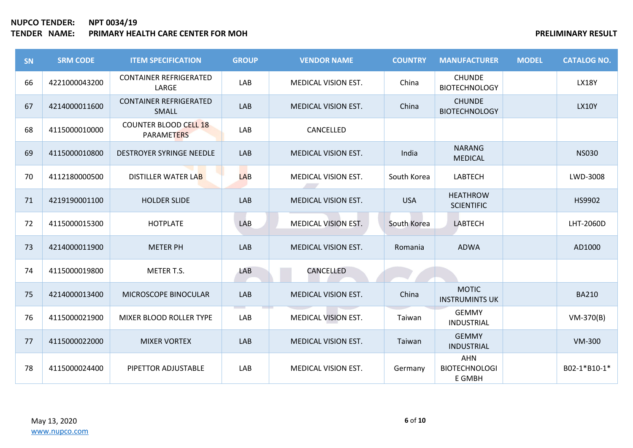| SN | <b>SRM CODE</b> | <b>ITEM SPECIFICATION</b>                         | <b>GROUP</b> | <b>VENDOR NAME</b>         | <b>COUNTRY</b> | <b>MANUFACTURER</b>                   | <b>MODEL</b> | <b>CATALOG NO.</b> |
|----|-----------------|---------------------------------------------------|--------------|----------------------------|----------------|---------------------------------------|--------------|--------------------|
| 66 | 4221000043200   | <b>CONTAINER REFRIGERATED</b><br>LARGE            | LAB          | MEDICAL VISION EST.        | China          | <b>CHUNDE</b><br><b>BIOTECHNOLOGY</b> |              | <b>LX18Y</b>       |
| 67 | 4214000011600   | <b>CONTAINER REFRIGERATED</b><br>SMALL            | LAB          | <b>MEDICAL VISION EST.</b> | China          | <b>CHUNDE</b><br><b>BIOTECHNOLOGY</b> |              | <b>LX10Y</b>       |
| 68 | 4115000010000   | <b>COUNTER BLOOD CELL 18</b><br><b>PARAMETERS</b> | LAB          | CANCELLED                  |                |                                       |              |                    |
| 69 | 4115000010800   | DESTROYER SYRINGE NEEDLE                          | LAB          | MEDICAL VISION EST.        | India          | <b>NARANG</b><br><b>MEDICAL</b>       |              | <b>NS030</b>       |
| 70 | 4112180000500   | DISTILLER WATER LAB                               | <b>LAB</b>   | <b>MEDICAL VISION EST.</b> | South Korea    | <b>LABTECH</b>                        |              | LWD-3008           |
| 71 | 4219190001100   | <b>HOLDER SLIDE</b>                               | LAB          | MEDICAL VISION EST.        | <b>USA</b>     | <b>HEATHROW</b><br><b>SCIENTIFIC</b>  |              | HS9902             |
| 72 | 4115000015300   | <b>HOTPLATE</b>                                   | LAB          | <b>MEDICAL VISION EST.</b> | South Korea    | <b>LABTECH</b>                        |              | LHT-2060D          |
| 73 | 4214000011900   | <b>METER PH</b>                                   | LAB          | <b>MEDICAL VISION EST.</b> | Romania        | <b>ADWA</b>                           |              | AD1000             |
| 74 | 4115000019800   | METER T.S.                                        | LAB          | CANCELLED                  |                |                                       |              |                    |
| 75 | 4214000013400   | MICROSCOPE BINOCULAR                              | LAB          | <b>MEDICAL VISION EST.</b> | China          | <b>MOTIC</b><br><b>INSTRUMINTS UK</b> |              | <b>BA210</b>       |
| 76 | 4115000021900   | MIXER BLOOD ROLLER TYPE                           | LAB          | MEDICAL VISION EST.        | Taiwan         | <b>GEMMY</b><br><b>INDUSTRIAL</b>     |              | $VM-370(B)$        |
| 77 | 4115000022000   | <b>MIXER VORTEX</b>                               | LAB          | <b>MEDICAL VISION EST.</b> | Taiwan         | <b>GEMMY</b><br><b>INDUSTRIAL</b>     |              | <b>VM-300</b>      |
| 78 | 4115000024400   | PIPETTOR ADJUSTABLE                               | LAB          | <b>MEDICAL VISION EST.</b> | Germany        | AHN<br><b>BIOTECHNOLOGI</b><br>E GMBH |              | B02-1*B10-1*       |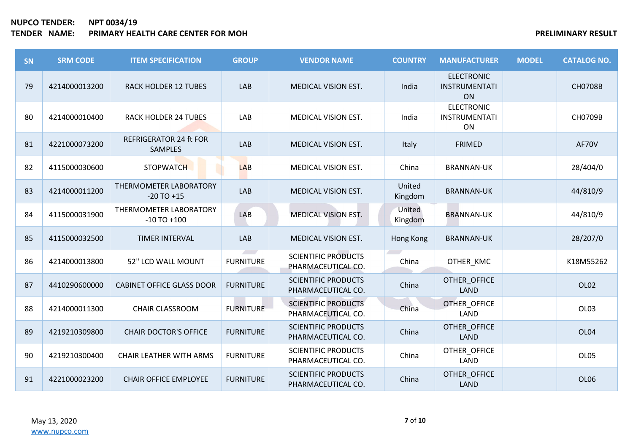# **NUPCO TENDER: NPT 0034/19 TENDER IN A PRELIMINARY RESULT PRIMARY RESULT**

| SN | <b>SRM CODE</b> | <b>ITEM SPECIFICATION</b>                       | <b>GROUP</b>     | <b>VENDOR NAME</b>                               | <b>COUNTRY</b>    | <b>MANUFACTURER</b>                             | <b>MODEL</b> | <b>CATALOG NO.</b> |
|----|-----------------|-------------------------------------------------|------------------|--------------------------------------------------|-------------------|-------------------------------------------------|--------------|--------------------|
| 79 | 4214000013200   | <b>RACK HOLDER 12 TUBES</b>                     | LAB              | <b>MEDICAL VISION EST.</b>                       | India             | <b>ELECTRONIC</b><br><b>INSTRUMENTATI</b><br>ON |              | <b>CH0708B</b>     |
| 80 | 4214000010400   | <b>RACK HOLDER 24 TUBES</b>                     | LAB              | MEDICAL VISION EST.                              | India             | <b>ELECTRONIC</b><br><b>INSTRUMENTATI</b><br>ON |              | CH0709B            |
| 81 | 4221000073200   | <b>REFRIGERATOR 24 ft FOR</b><br><b>SAMPLES</b> | LAB              | MEDICAL VISION EST.                              | Italy             | <b>FRIMED</b>                                   |              | AF70V              |
| 82 | 4115000030600   | <b>STOPWATCH</b>                                | <b>LAB</b>       | MEDICAL VISION EST.                              | China             | <b>BRANNAN-UK</b>                               |              | 28/404/0           |
| 83 | 4214000011200   | THERMOMETER LABORATORY<br>$-20$ TO $+15$        | LAB              | MEDICAL VISION EST.                              | United<br>Kingdom | <b>BRANNAN-UK</b>                               |              | 44/810/9           |
| 84 | 4115000031900   | THERMOMETER LABORATORY<br>$-10$ TO $+100$       | LAB              | <b>MEDICAL VISION EST.</b>                       | United<br>Kingdom | <b>BRANNAN-UK</b>                               |              | 44/810/9           |
| 85 | 4115000032500   | <b>TIMER INTERVAL</b>                           | LAB              | MEDICAL VISION EST.                              | Hong Kong         | <b>BRANNAN-UK</b>                               |              | 28/207/0           |
| 86 | 4214000013800   | 52" LCD WALL MOUNT                              | <b>FURNITURE</b> | <b>SCIENTIFIC PRODUCTS</b><br>PHARMACEUTICAL CO. | China             | OTHER_KMC                                       |              | K18M55262          |
| 87 | 4410290600000   | <b>CABINET OFFICE GLASS DOOR</b>                | <b>FURNITURE</b> | <b>SCIENTIFIC PRODUCTS</b><br>PHARMACEUTICAL CO. | China             | OTHER OFFICE<br><b>LAND</b>                     |              | OL <sub>02</sub>   |
| 88 | 4214000011300   | <b>CHAIR CLASSROOM</b>                          | <b>FURNITURE</b> | <b>SCIENTIFIC PRODUCTS</b><br>PHARMACEUTICAL CO. | China             | OTHER_OFFICE<br>LAND                            |              | OL03               |
| 89 | 4219210309800   | <b>CHAIR DOCTOR'S OFFICE</b>                    | <b>FURNITURE</b> | <b>SCIENTIFIC PRODUCTS</b><br>PHARMACEUTICAL CO. | China             | OTHER_OFFICE<br>LAND                            |              | OL04               |
| 90 | 4219210300400   | <b>CHAIR LEATHER WITH ARMS</b>                  | <b>FURNITURE</b> | <b>SCIENTIFIC PRODUCTS</b><br>PHARMACEUTICAL CO. | China             | OTHER_OFFICE<br>LAND                            |              | OL05               |
| 91 | 4221000023200   | <b>CHAIR OFFICE EMPLOYEE</b>                    | <b>FURNITURE</b> | <b>SCIENTIFIC PRODUCTS</b><br>PHARMACEUTICAL CO. | China             | OTHER_OFFICE<br><b>LAND</b>                     |              | OL06               |

May 13, 2020 [www.nupco.com](http://www.nupco.com/)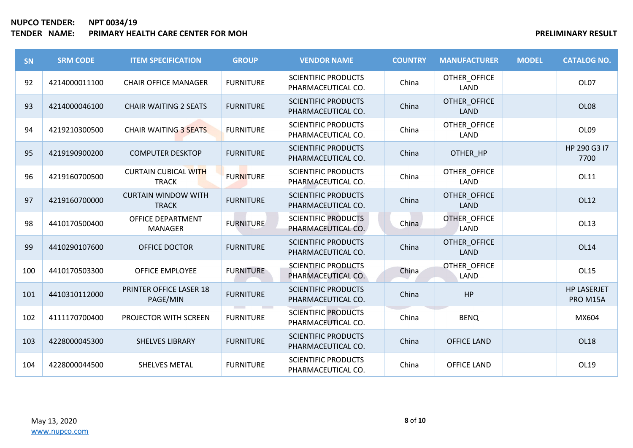# **NUPCO TENDER: NPT 0034/19 TENDER IN A PROPERTY RESULT PRELIMINARY RESULT**

| SN  | <b>SRM CODE</b> | <b>ITEM SPECIFICATION</b>                   | <b>GROUP</b>     | <b>VENDOR NAME</b>                               | <b>COUNTRY</b> | <b>MANUFACTURER</b>         | <b>MODEL</b> | <b>CATALOG NO.</b>             |
|-----|-----------------|---------------------------------------------|------------------|--------------------------------------------------|----------------|-----------------------------|--------------|--------------------------------|
| 92  | 4214000011100   | <b>CHAIR OFFICE MANAGER</b>                 | <b>FURNITURE</b> | <b>SCIENTIFIC PRODUCTS</b><br>PHARMACEUTICAL CO. | China          | OTHER_OFFICE<br>LAND        |              | OL07                           |
| 93  | 4214000046100   | <b>CHAIR WAITING 2 SEATS</b>                | <b>FURNITURE</b> | <b>SCIENTIFIC PRODUCTS</b><br>PHARMACEUTICAL CO. | China          | OTHER_OFFICE<br><b>LAND</b> |              | OL08                           |
| 94  | 4219210300500   | <b>CHAIR WAITING 3 SEATS</b>                | <b>FURNITURE</b> | <b>SCIENTIFIC PRODUCTS</b><br>PHARMACEUTICAL CO. | China          | OTHER_OFFICE<br>LAND        |              | OL09                           |
| 95  | 4219190900200   | <b>COMPUTER DESKTOP</b>                     | <b>FURNITURE</b> | <b>SCIENTIFIC PRODUCTS</b><br>PHARMACEUTICAL CO. | China          | OTHER HP                    |              | HP 290 G3 I7<br>7700           |
| 96  | 4219160700500   | <b>CURTAIN CUBICAL WITH</b><br><b>TRACK</b> | <b>FURNITURE</b> | <b>SCIENTIFIC PRODUCTS</b><br>PHARMACEUTICAL CO. | China          | OTHER_OFFICE<br>LAND        |              | OL11                           |
| 97  | 4219160700000   | <b>CURTAIN WINDOW WITH</b><br><b>TRACK</b>  | <b>FURNITURE</b> | <b>SCIENTIFIC PRODUCTS</b><br>PHARMACEUTICAL CO. | China          | OTHER_OFFICE<br><b>LAND</b> |              | OL12                           |
| 98  | 4410170500400   | OFFICE DEPARTMENT<br><b>MANAGER</b>         | <b>FURNITURE</b> | <b>SCIENTIFIC PRODUCTS</b><br>PHARMACEUTICAL CO. | China          | OTHER_OFFICE<br>LAND        |              | OL13                           |
| 99  | 4410290107600   | OFFICE DOCTOR                               | <b>FURNITURE</b> | <b>SCIENTIFIC PRODUCTS</b><br>PHARMACEUTICAL CO. | China          | OTHER_OFFICE<br><b>LAND</b> |              | <b>OL14</b>                    |
| 100 | 4410170503300   | <b>OFFICE EMPLOYEE</b>                      | <b>FURNITURE</b> | <b>SCIENTIFIC PRODUCTS</b><br>PHARMACEUTICAL CO. | China          | OTHER_OFFICE<br>LAND        |              | OL15                           |
| 101 | 4410310112000   | PRINTER OFFICE LASER 18<br>PAGE/MIN         | <b>FURNITURE</b> | <b>SCIENTIFIC PRODUCTS</b><br>PHARMACEUTICAL CO. | China          | HP                          |              | <b>HP LASERJET</b><br>PRO M15A |
| 102 | 4111170700400   | PROJECTOR WITH SCREEN                       | <b>FURNITURE</b> | <b>SCIENTIFIC PRODUCTS</b><br>PHARMACEUTICAL CO. | China          | <b>BENQ</b>                 |              | MX604                          |
| 103 | 4228000045300   | <b>SHELVES LIBRARY</b>                      | <b>FURNITURE</b> | <b>SCIENTIFIC PRODUCTS</b><br>PHARMACEUTICAL CO. | China          | <b>OFFICE LAND</b>          |              | <b>OL18</b>                    |
| 104 | 4228000044500   | SHELVES METAL                               | <b>FURNITURE</b> | <b>SCIENTIFIC PRODUCTS</b><br>PHARMACEUTICAL CO. | China          | <b>OFFICE LAND</b>          |              | OL19                           |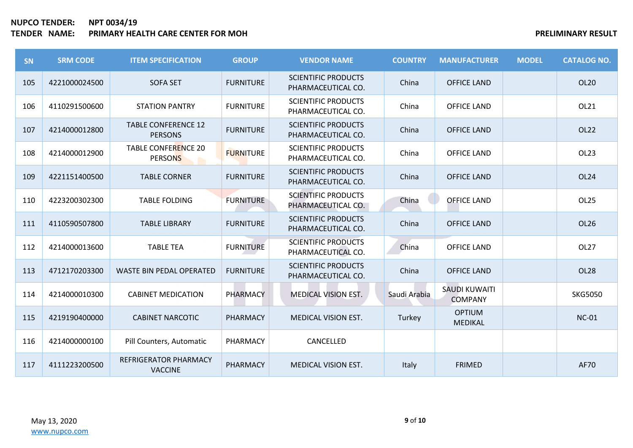| SN  | <b>SRM CODE</b> | <b>ITEM SPECIFICATION</b>                      | <b>GROUP</b>     | <b>VENDOR NAME</b>                               | <b>COUNTRY</b> | <b>MANUFACTURER</b>                    | <b>MODEL</b> | <b>CATALOG NO.</b> |
|-----|-----------------|------------------------------------------------|------------------|--------------------------------------------------|----------------|----------------------------------------|--------------|--------------------|
| 105 | 4221000024500   | <b>SOFA SET</b>                                | <b>FURNITURE</b> | <b>SCIENTIFIC PRODUCTS</b><br>PHARMACEUTICAL CO. | China          | <b>OFFICE LAND</b>                     |              | OL20               |
| 106 | 4110291500600   | <b>STATION PANTRY</b>                          | <b>FURNITURE</b> | <b>SCIENTIFIC PRODUCTS</b><br>PHARMACEUTICAL CO. | China          | <b>OFFICE LAND</b>                     |              | OL21               |
| 107 | 4214000012800   | <b>TABLE CONFERENCE 12</b><br><b>PERSONS</b>   | <b>FURNITURE</b> | <b>SCIENTIFIC PRODUCTS</b><br>PHARMACEUTICAL CO. | China          | <b>OFFICE LAND</b>                     |              | OL22               |
| 108 | 4214000012900   | <b>TABLE CONFERENCE 20</b><br><b>PERSONS</b>   | <b>FURNITURE</b> | <b>SCIENTIFIC PRODUCTS</b><br>PHARMACEUTICAL CO. | China          | <b>OFFICE LAND</b>                     |              | OL <sub>23</sub>   |
| 109 | 4221151400500   | <b>TABLE CORNER</b>                            | <b>FURNITURE</b> | <b>SCIENTIFIC PRODUCTS</b><br>PHARMACEUTICAL CO. | China          | <b>OFFICE LAND</b>                     |              | OL <sub>24</sub>   |
| 110 | 4223200302300   | <b>TABLE FOLDING</b>                           | <b>FURNITURE</b> | <b>SCIENTIFIC PRODUCTS</b><br>PHARMACEUTICAL CO. | China          | <b>OFFICE LAND</b>                     |              | <b>OL25</b>        |
| 111 | 4110590507800   | <b>TABLE LIBRARY</b>                           | <b>FURNITURE</b> | <b>SCIENTIFIC PRODUCTS</b><br>PHARMACEUTICAL CO. | China          | <b>OFFICE LAND</b>                     |              | OL <sub>26</sub>   |
| 112 | 4214000013600   | <b>TABLE TEA</b>                               | <b>FURNITURE</b> | <b>SCIENTIFIC PRODUCTS</b><br>PHARMACEUTICAL CO. | China          | <b>OFFICE LAND</b>                     |              | OL <sub>27</sub>   |
| 113 | 4712170203300   | <b>WASTE BIN PEDAL OPERATED</b>                | <b>FURNITURE</b> | <b>SCIENTIFIC PRODUCTS</b><br>PHARMACEUTICAL CO. | China          | <b>OFFICE LAND</b>                     |              | <b>OL28</b>        |
| 114 | 4214000010300   | <b>CABINET MEDICATION</b>                      | PHARMACY         | <b>MEDICAL VISION EST.</b>                       | Saudi Arabia   | <b>SAUDI KUWAITI</b><br><b>COMPANY</b> |              | <b>SKG5050</b>     |
| 115 | 4219190400000   | <b>CABINET NARCOTIC</b>                        | PHARMACY         | <b>MEDICAL VISION EST.</b>                       | Turkey         | <b>OPTIUM</b><br><b>MEDIKAL</b>        |              | <b>NC-01</b>       |
| 116 | 4214000000100   | Pill Counters, Automatic                       | PHARMACY         | CANCELLED                                        |                |                                        |              |                    |
| 117 | 4111223200500   | <b>REFRIGERATOR PHARMACY</b><br><b>VACCINE</b> | PHARMACY         | <b>MEDICAL VISION EST.</b>                       | Italy          | <b>FRIMED</b>                          |              | <b>AF70</b>        |